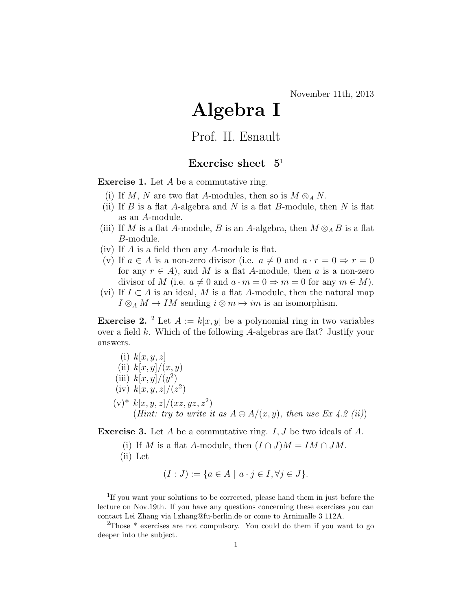## Algebra I

Prof. H. Esnault

## Exercise sheet  $5<sup>1</sup>$

Exercise 1. Let A be a commutative ring.

- (i) If M, N are two flat A-modules, then so is  $M \otimes_A N$ .
- (ii) If B is a flat A-algebra and N is a flat B-module, then N is flat as an A-module.
- (iii) If M is a flat A-module, B is an A-algebra, then  $M \otimes_A B$  is a flat B-module.
- (iv) If A is a field then any A-module is flat.
- (v) If  $a \in A$  is a non-zero divisor (i.e.  $a \neq 0$  and  $a \cdot r = 0 \Rightarrow r = 0$ for any  $r \in A$ , and M is a flat A-module, then a is a non-zero divisor of M (i.e.  $a \neq 0$  and  $a \cdot m = 0 \Rightarrow m = 0$  for any  $m \in M$ ).
- (vi) If  $I \subset A$  is an ideal, M is a flat A-module, then the natural map  $I \otimes_A M \to IM$  sending  $i \otimes m \mapsto im$  is an isomorphism.

**Exercise 2.** <sup>2</sup> Let  $A := k[x, y]$  be a polynomial ring in two variables over a field k. Which of the following A-algebras are flat? Justify your answers.

\n- (i) 
$$
k[x, y, z]
$$
\n- (ii)  $k[x, y]/(x, y)$
\n- (iii)  $k[x, y]/(y^2)$
\n- (iv)  $k[x, y, z]/(z^2)$
\n- (v)\*  $k[x, y, z]/(xz, yz, z^2)$
\n- (Hint: try to write it as  $A \oplus A/(x, y)$ , then use  $Ex \downarrow . 2$  (ii))
\n

**Exercise 3.** Let A be a commutative ring.  $I, J$  be two ideals of A.

(i) If M is a flat A-module, then  $(I \cap J)M = IM \cap JM$ . (ii) Let

$$
(I:J) := \{ a \in A \mid a \cdot j \in I, \forall j \in J \}.
$$

<sup>&</sup>lt;sup>1</sup>If you want your solutions to be corrected, please hand them in just before the lecture on Nov.19th. If you have any questions concerning these exercises you can contact Lei Zhang via l.zhang@fu-berlin.de or come to Arnimalle 3 112A.

<sup>&</sup>lt;sup>2</sup>Those \* exercises are not compulsory. You could do them if you want to go deeper into the subject.